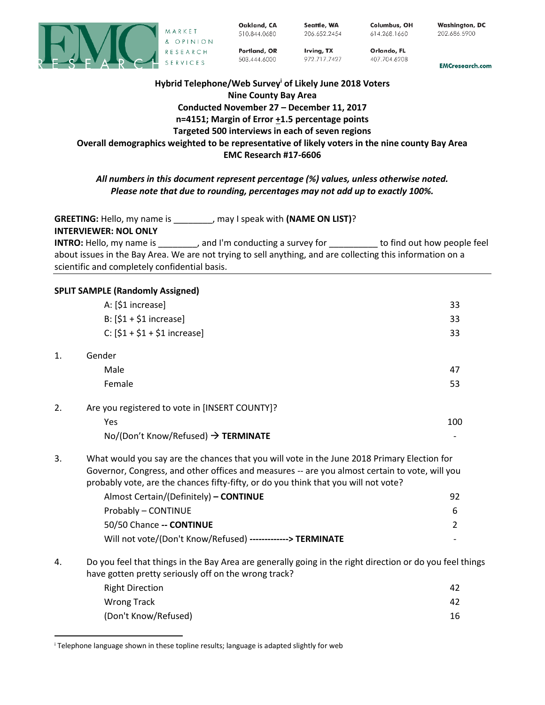

Oakland, CA 510.844.0680 Seattle, WA 206.652.2454

Irving, TX

972.717.7427

Columbus, OH 614.268.1660

Orlando, FL

407.704.6208

**Washington, DC** 202.686.5900

**EMCresearch.com** 

# **Hybrid Telephone/Web Survey<sup>i</sup> of Likely June 2018 Voters Nine County Bay Area Conducted November 27 – December 11, 2017 n=4151; Margin of Error +1.5 percentage points Targeted 500 interviews in each of seven regions Overall demographics weighted to be representative of likely voters in the nine county Bay Area EMC Research #17-6606**

Portland, OR

503.444.6000

# *All numbers in this document represent percentage (%) values, unless otherwise noted. Please note that due to rounding, percentages may not add up to exactly 100%.*

**GREETING:** Hello, my name is \_\_\_\_\_\_\_\_, may I speak with **(NAME ON LIST)**?

**INTERVIEWER: NOL ONLY**

 $\overline{\phantom{a}}$ 

**INTRO:** Hello, my name is \_\_\_\_\_\_\_\_, and I'm conducting a survey for \_\_\_\_\_\_\_\_\_\_ to find out how people feel about issues in the Bay Area. We are not trying to sell anything, and are collecting this information on a scientific and completely confidential basis.

### **SPLIT SAMPLE (Randomly Assigned)**

|    | A: [\$1 increase]                                                                                                                                                                                                                                                                    | 33             |
|----|--------------------------------------------------------------------------------------------------------------------------------------------------------------------------------------------------------------------------------------------------------------------------------------|----------------|
|    | B: $[$1 + $1$ increase]                                                                                                                                                                                                                                                              | 33             |
|    | $C: [51 + 51 + 51$ increase]                                                                                                                                                                                                                                                         | 33             |
| 1. | Gender                                                                                                                                                                                                                                                                               |                |
|    | Male                                                                                                                                                                                                                                                                                 | 47             |
|    | Female                                                                                                                                                                                                                                                                               | 53             |
| 2. | Are you registered to vote in [INSERT COUNTY]?                                                                                                                                                                                                                                       |                |
|    | Yes                                                                                                                                                                                                                                                                                  | 100            |
|    | No/(Don't Know/Refused) → TERMINATE                                                                                                                                                                                                                                                  |                |
| 3. | What would you say are the chances that you will vote in the June 2018 Primary Election for<br>Governor, Congress, and other offices and measures -- are you almost certain to vote, will you<br>probably vote, are the chances fifty-fifty, or do you think that you will not vote? |                |
|    | Almost Certain/(Definitely) - CONTINUE                                                                                                                                                                                                                                               | 92             |
|    | Probably - CONTINUE                                                                                                                                                                                                                                                                  | 6              |
|    | 50/50 Chance -- CONTINUE                                                                                                                                                                                                                                                             | $\overline{2}$ |
|    | Will not vote/(Don't Know/Refused) -------------> TERMINATE                                                                                                                                                                                                                          |                |
| 4. | Do you feel that things in the Bay Area are generally going in the right direction or do you feel things<br>have gotten pretty seriously off on the wrong track?                                                                                                                     |                |
|    | <b>Right Direction</b>                                                                                                                                                                                                                                                               | 42             |
|    | <b>Wrong Track</b>                                                                                                                                                                                                                                                                   | 42             |
|    | (Don't Know/Refused)                                                                                                                                                                                                                                                                 | 16             |

<sup>i</sup> Telephone language shown in these topline results; language is adapted slightly for web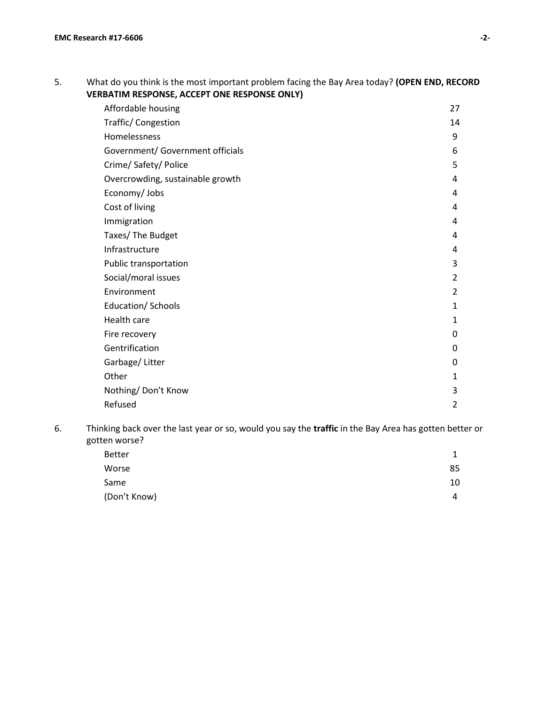# 5. What do you think is the most important problem facing the Bay Area today? **(OPEN END, RECORD VERBATIM RESPONSE, ACCEPT ONE RESPONSE ONLY)**

| Affordable housing               | 27             |
|----------------------------------|----------------|
| Traffic/Congestion               | 14             |
| Homelessness                     | 9              |
| Government/ Government officials | 6              |
| Crime/ Safety/ Police            | 5              |
| Overcrowding, sustainable growth | 4              |
| Economy/ Jobs                    | 4              |
| Cost of living                   | 4              |
| Immigration                      | 4              |
| Taxes/ The Budget                | 4              |
| Infrastructure                   | 4              |
| Public transportation            | 3              |
| Social/moral issues              | 2              |
| Environment                      | 2              |
| Education/ Schools               | 1              |
| Health care                      | 1              |
| Fire recovery                    | 0              |
| Gentrification                   | 0              |
| Garbage/Litter                   | 0              |
| Other                            | 1              |
| Nothing/Don't Know               | 3              |
| Refused                          | $\overline{2}$ |

6. Thinking back over the last year or so, would you say the **traffic** in the Bay Area has gotten better or gotten worse?

| <b>Better</b> |    |
|---------------|----|
| Worse         | 85 |
| Same          | 10 |
| (Don't Know)  | 4  |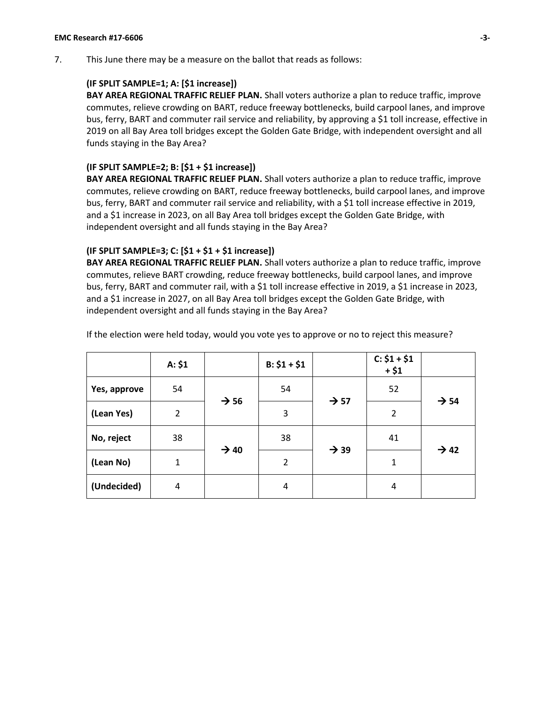7. This June there may be a measure on the ballot that reads as follows:

## **(IF SPLIT SAMPLE=1; A: [\$1 increase])**

**BAY AREA REGIONAL TRAFFIC RELIEF PLAN.** Shall voters authorize a plan to reduce traffic, improve commutes, relieve crowding on BART, reduce freeway bottlenecks, build carpool lanes, and improve bus, ferry, BART and commuter rail service and reliability, by approving a \$1 toll increase, effective in 2019 on all Bay Area toll bridges except the Golden Gate Bridge, with independent oversight and all funds staying in the Bay Area?

### **(IF SPLIT SAMPLE=2; B: [\$1 + \$1 increase])**

**BAY AREA REGIONAL TRAFFIC RELIEF PLAN.** Shall voters authorize a plan to reduce traffic, improve commutes, relieve crowding on BART, reduce freeway bottlenecks, build carpool lanes, and improve bus, ferry, BART and commuter rail service and reliability, with a \$1 toll increase effective in 2019, and a \$1 increase in 2023, on all Bay Area toll bridges except the Golden Gate Bridge, with independent oversight and all funds staying in the Bay Area?

### **(IF SPLIT SAMPLE=3; C: [\$1 + \$1 + \$1 increase])**

**BAY AREA REGIONAL TRAFFIC RELIEF PLAN.** Shall voters authorize a plan to reduce traffic, improve commutes, relieve BART crowding, reduce freeway bottlenecks, build carpool lanes, and improve bus, ferry, BART and commuter rail, with a \$1 toll increase effective in 2019, a \$1 increase in 2023, and a \$1 increase in 2027, on all Bay Area toll bridges except the Golden Gate Bridge, with independent oversight and all funds staying in the Bay Area?

|              | A: \$1         |                  | $B: $1 + $1$   |                  | $C: $1 + $1$<br>$+ $1$ |                  |
|--------------|----------------|------------------|----------------|------------------|------------------------|------------------|
| Yes, approve | 54             |                  | 54             |                  | 52                     | $\rightarrow$ 54 |
| (Lean Yes)   | $\overline{2}$ | $\rightarrow$ 56 | 3              | $\rightarrow$ 57 | $\overline{2}$         |                  |
| No, reject   | 38             |                  | 38             |                  | 41                     | $\rightarrow$ 42 |
| (Lean No)    | 1              | $\rightarrow$ 40 | $\overline{2}$ | $\rightarrow$ 39 | $\mathbf{1}$           |                  |
| (Undecided)  | $\overline{4}$ |                  | $\overline{4}$ |                  | 4                      |                  |

If the election were held today, would you vote yes to approve or no to reject this measure?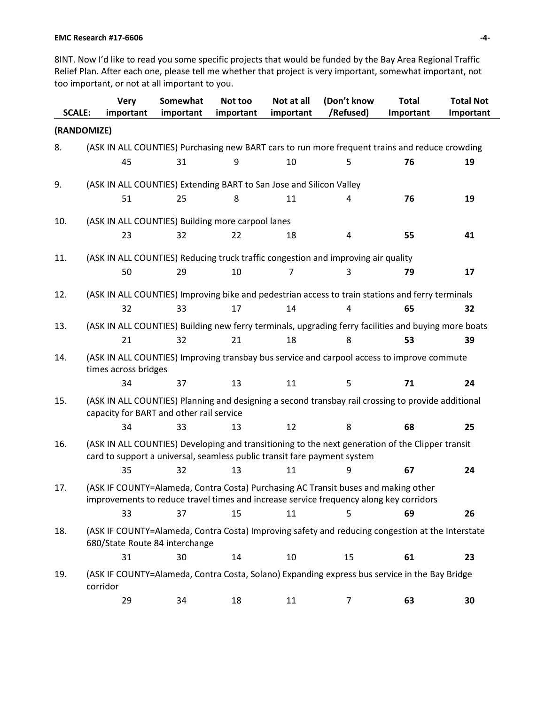#### **EMC Research #17-6606 -4-**

8INT. Now I'd like to read you some specific projects that would be funded by the Bay Area Regional Traffic Relief Plan. After each one, please tell me whether that project is very important, somewhat important, not too important, or not at all important to you.

| <b>SCALE:</b> | <b>Very</b><br>important | Somewhat<br>important                                                    | Not too<br>important | Not at all<br>important | (Don't know<br>/Refused)                                                                                                                                                     | <b>Total</b><br>Important | <b>Total Not</b><br>Important |
|---------------|--------------------------|--------------------------------------------------------------------------|----------------------|-------------------------|------------------------------------------------------------------------------------------------------------------------------------------------------------------------------|---------------------------|-------------------------------|
| (RANDOMIZE)   |                          |                                                                          |                      |                         |                                                                                                                                                                              |                           |                               |
| 8.            |                          |                                                                          |                      |                         | (ASK IN ALL COUNTIES) Purchasing new BART cars to run more frequent trains and reduce crowding                                                                               |                           |                               |
|               | 45                       | 31                                                                       | 9                    | 10                      | 5                                                                                                                                                                            | 76                        | 19                            |
| 9.            |                          | (ASK IN ALL COUNTIES) Extending BART to San Jose and Silicon Valley      |                      |                         |                                                                                                                                                                              |                           |                               |
|               | 51                       | 25                                                                       | 8                    | 11                      | 4                                                                                                                                                                            | 76                        | 19                            |
|               |                          |                                                                          |                      |                         |                                                                                                                                                                              |                           |                               |
| 10.           |                          | (ASK IN ALL COUNTIES) Building more carpool lanes                        |                      |                         |                                                                                                                                                                              |                           |                               |
|               | 23                       | 32                                                                       | 22                   | 18                      | 4                                                                                                                                                                            | 55                        | 41                            |
| 11.           |                          |                                                                          |                      |                         | (ASK IN ALL COUNTIES) Reducing truck traffic congestion and improving air quality                                                                                            |                           |                               |
|               | 50                       | 29                                                                       | 10                   | 7                       | 3                                                                                                                                                                            | 79                        | 17                            |
| 12.           |                          |                                                                          |                      |                         | (ASK IN ALL COUNTIES) Improving bike and pedestrian access to train stations and ferry terminals                                                                             |                           |                               |
|               | 32                       | 33                                                                       | 17                   | 14                      | 4                                                                                                                                                                            | 65                        | 32                            |
| 13.           |                          |                                                                          |                      |                         | (ASK IN ALL COUNTIES) Building new ferry terminals, upgrading ferry facilities and buying more boats                                                                         |                           |                               |
|               | 21                       | 32                                                                       | 21                   | 18                      | 8                                                                                                                                                                            | 53                        | 39                            |
| 14.           | times across bridges     |                                                                          |                      |                         | (ASK IN ALL COUNTIES) Improving transbay bus service and carpool access to improve commute                                                                                   |                           |                               |
|               | 34                       | 37                                                                       | 13                   | 11                      | 5                                                                                                                                                                            | 71                        | 24                            |
| 15.           |                          | capacity for BART and other rail service                                 |                      |                         | (ASK IN ALL COUNTIES) Planning and designing a second transbay rail crossing to provide additional                                                                           |                           |                               |
|               | 34                       | 33                                                                       | 13                   | 12                      | 8                                                                                                                                                                            | 68                        | 25                            |
| 16.           |                          | card to support a universal, seamless public transit fare payment system |                      |                         | (ASK IN ALL COUNTIES) Developing and transitioning to the next generation of the Clipper transit                                                                             |                           |                               |
|               | 35                       | 32                                                                       | 13                   | 11                      | 9                                                                                                                                                                            | 67                        | 24                            |
| 17.           |                          |                                                                          |                      |                         | (ASK IF COUNTY=Alameda, Contra Costa) Purchasing AC Transit buses and making other<br>improvements to reduce travel times and increase service frequency along key corridors |                           |                               |
|               | 33                       | 37                                                                       | 15                   | 11                      | 5                                                                                                                                                                            | 69                        | 26                            |
| 18.           |                          | 680/State Route 84 interchange                                           |                      |                         | (ASK IF COUNTY=Alameda, Contra Costa) Improving safety and reducing congestion at the Interstate                                                                             |                           |                               |
|               | 31                       | 30                                                                       | 14                   | 10                      | 15                                                                                                                                                                           | 61                        | 23                            |
| 19.           | corridor                 |                                                                          |                      |                         | (ASK IF COUNTY=Alameda, Contra Costa, Solano) Expanding express bus service in the Bay Bridge                                                                                |                           |                               |
|               | 29                       | 34                                                                       | 18                   | 11                      | $\overline{7}$                                                                                                                                                               | 63                        | 30                            |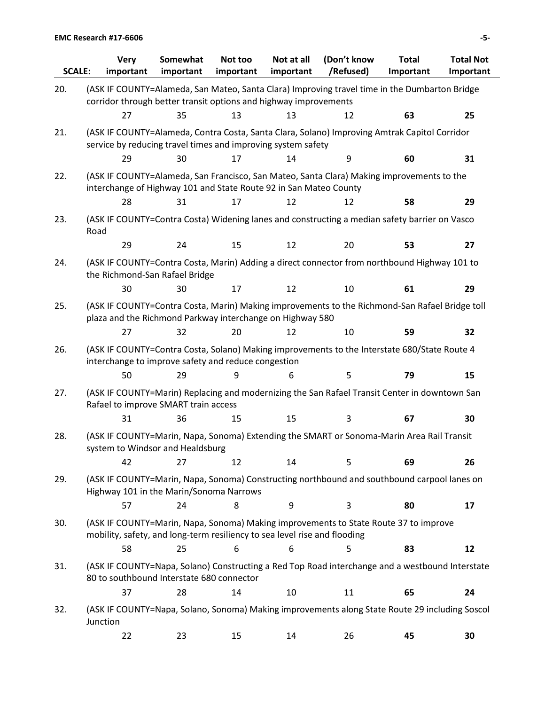| <b>SCALE:</b> | <b>Very</b><br>important                                                                                                                                          | Somewhat<br>important | Not too<br>important | Not at all<br>important | (Don't know<br>/Refused) | <b>Total</b><br>Important | <b>Total Not</b><br>Important |
|---------------|-------------------------------------------------------------------------------------------------------------------------------------------------------------------|-----------------------|----------------------|-------------------------|--------------------------|---------------------------|-------------------------------|
| 20.           | (ASK IF COUNTY=Alameda, San Mateo, Santa Clara) Improving travel time in the Dumbarton Bridge<br>corridor through better transit options and highway improvements |                       |                      |                         |                          |                           |                               |
|               | 27                                                                                                                                                                | 35                    | 13                   | 13                      | 12                       | 63                        | 25                            |
| 21.           | (ASK IF COUNTY=Alameda, Contra Costa, Santa Clara, Solano) Improving Amtrak Capitol Corridor<br>service by reducing travel times and improving system safety      |                       |                      |                         |                          |                           |                               |
|               | 29                                                                                                                                                                | 30                    | 17                   | 14                      | 9                        | 60                        | 31                            |
| 22.           | (ASK IF COUNTY=Alameda, San Francisco, San Mateo, Santa Clara) Making improvements to the<br>interchange of Highway 101 and State Route 92 in San Mateo County    |                       |                      |                         |                          |                           |                               |
|               | 28                                                                                                                                                                | 31                    | 17                   | 12                      | 12                       | 58                        | 29                            |
| 23.           | (ASK IF COUNTY=Contra Costa) Widening lanes and constructing a median safety barrier on Vasco<br>Road                                                             |                       |                      |                         |                          |                           |                               |
|               | 29                                                                                                                                                                | 24                    | 15                   | 12                      | 20                       | 53                        | 27                            |
| 24.           | (ASK IF COUNTY=Contra Costa, Marin) Adding a direct connector from northbound Highway 101 to<br>the Richmond-San Rafael Bridge                                    |                       |                      |                         |                          |                           |                               |
|               | 30                                                                                                                                                                | 30                    | 17                   | 12                      | 10                       | 61                        | 29                            |
| 25.           | (ASK IF COUNTY=Contra Costa, Marin) Making improvements to the Richmond-San Rafael Bridge toll<br>plaza and the Richmond Parkway interchange on Highway 580       |                       |                      |                         |                          |                           |                               |
|               | 27                                                                                                                                                                | 32                    | 20                   | 12                      | 10                       | 59                        | 32                            |
| 26.           | (ASK IF COUNTY=Contra Costa, Solano) Making improvements to the Interstate 680/State Route 4<br>interchange to improve safety and reduce congestion               |                       |                      |                         |                          |                           |                               |
|               | 50                                                                                                                                                                | 29                    | 9                    | 6                       | 5                        | 79                        | 15                            |
| 27.           | (ASK IF COUNTY=Marin) Replacing and modernizing the San Rafael Transit Center in downtown San<br>Rafael to improve SMART train access                             |                       |                      |                         |                          |                           |                               |
|               | 31                                                                                                                                                                | 36                    | 15                   | 15                      | 3                        | 67                        | 30                            |
| 28.           | (ASK IF COUNTY=Marin, Napa, Sonoma) Extending the SMART or Sonoma-Marin Area Rail Transit<br>system to Windsor and Healdsburg                                     |                       |                      |                         |                          |                           |                               |
|               | 42                                                                                                                                                                | 27                    | 12                   | 14                      | 5                        | 69                        | 26                            |
| 29.           | (ASK IF COUNTY=Marin, Napa, Sonoma) Constructing northbound and southbound carpool lanes on<br>Highway 101 in the Marin/Sonoma Narrows                            |                       |                      |                         |                          |                           |                               |
|               | 57                                                                                                                                                                | 24                    | 8                    | 9                       | 3                        | 80                        | 17                            |
| 30.           | (ASK IF COUNTY=Marin, Napa, Sonoma) Making improvements to State Route 37 to improve<br>mobility, safety, and long-term resiliency to sea level rise and flooding |                       |                      |                         |                          |                           |                               |
|               | 58                                                                                                                                                                | 25                    | 6                    | 6                       | 5                        | 83                        | 12                            |
| 31.           | (ASK IF COUNTY=Napa, Solano) Constructing a Red Top Road interchange and a westbound Interstate<br>80 to southbound Interstate 680 connector                      |                       |                      |                         |                          |                           |                               |
|               | 37                                                                                                                                                                | 28                    | 14                   | 10                      | 11                       | 65                        | 24                            |
| 32.           | (ASK IF COUNTY=Napa, Solano, Sonoma) Making improvements along State Route 29 including Soscol<br>Junction                                                        |                       |                      |                         |                          |                           |                               |
|               | 22                                                                                                                                                                | 23                    | 15                   | 14                      | 26                       | 45                        | 30                            |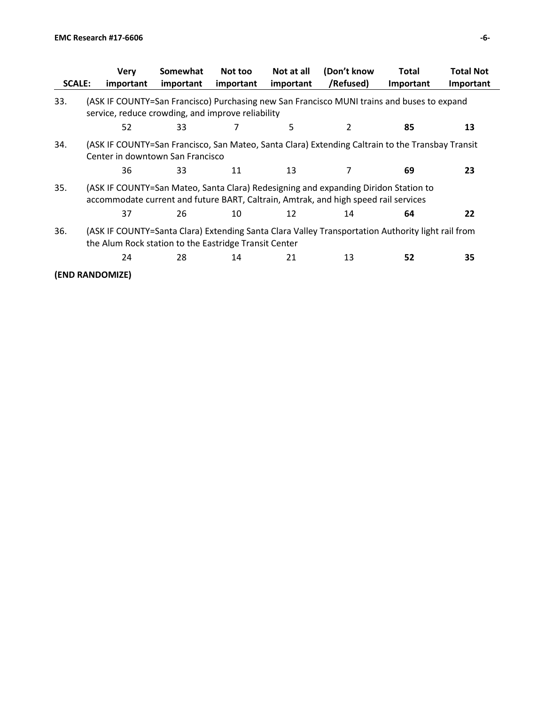|               | <b>Verv</b>                                           | Somewhat  | Not too   | Not at all | (Don't know                                                                                                                                                                | Total     | <b>Total Not</b> |
|---------------|-------------------------------------------------------|-----------|-----------|------------|----------------------------------------------------------------------------------------------------------------------------------------------------------------------------|-----------|------------------|
| <b>SCALE:</b> | important                                             | important | important | important  | /Refused)                                                                                                                                                                  | Important | Important        |
| 33.           | service, reduce crowding, and improve reliability     |           |           |            | (ASK IF COUNTY=San Francisco) Purchasing new San Francisco MUNI trains and buses to expand                                                                                 |           |                  |
|               | 52                                                    | 33        |           | 5          | 2                                                                                                                                                                          | 85        | 13               |
| 34.           | Center in downtown San Francisco                      |           |           |            | (ASK IF COUNTY=San Francisco, San Mateo, Santa Clara) Extending Caltrain to the Transbay Transit                                                                           |           |                  |
|               | 36                                                    | 33        | 11        | 13         | 7                                                                                                                                                                          | 69        | 23               |
| 35.           |                                                       |           |           |            | (ASK IF COUNTY=San Mateo, Santa Clara) Redesigning and expanding Diridon Station to<br>accommodate current and future BART, Caltrain, Amtrak, and high speed rail services |           |                  |
|               | 37                                                    | 26        | 10        | 12         | 14                                                                                                                                                                         | 64        | 22               |
| 36.           | the Alum Rock station to the Eastridge Transit Center |           |           |            | (ASK IF COUNTY=Santa Clara) Extending Santa Clara Valley Transportation Authority light rail from                                                                          |           |                  |
|               | 24                                                    | 28        | 14        | 21         | 13                                                                                                                                                                         | 52        | 35               |
|               | (END RANDOMIZE)                                       |           |           |            |                                                                                                                                                                            |           |                  |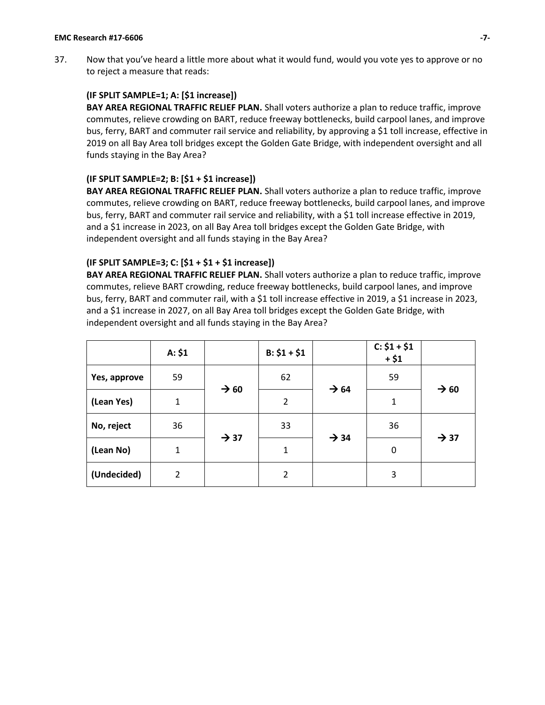37. Now that you've heard a little more about what it would fund, would you vote yes to approve or no to reject a measure that reads:

## **(IF SPLIT SAMPLE=1; A: [\$1 increase])**

**BAY AREA REGIONAL TRAFFIC RELIEF PLAN.** Shall voters authorize a plan to reduce traffic, improve commutes, relieve crowding on BART, reduce freeway bottlenecks, build carpool lanes, and improve bus, ferry, BART and commuter rail service and reliability, by approving a \$1 toll increase, effective in 2019 on all Bay Area toll bridges except the Golden Gate Bridge, with independent oversight and all funds staying in the Bay Area?

### **(IF SPLIT SAMPLE=2; B: [\$1 + \$1 increase])**

**BAY AREA REGIONAL TRAFFIC RELIEF PLAN.** Shall voters authorize a plan to reduce traffic, improve commutes, relieve crowding on BART, reduce freeway bottlenecks, build carpool lanes, and improve bus, ferry, BART and commuter rail service and reliability, with a \$1 toll increase effective in 2019, and a \$1 increase in 2023, on all Bay Area toll bridges except the Golden Gate Bridge, with independent oversight and all funds staying in the Bay Area?

### **(IF SPLIT SAMPLE=3; C: [\$1 + \$1 + \$1 increase])**

**BAY AREA REGIONAL TRAFFIC RELIEF PLAN.** Shall voters authorize a plan to reduce traffic, improve commutes, relieve BART crowding, reduce freeway bottlenecks, build carpool lanes, and improve bus, ferry, BART and commuter rail, with a \$1 toll increase effective in 2019, a \$1 increase in 2023, and a \$1 increase in 2027, on all Bay Area toll bridges except the Golden Gate Bridge, with independent oversight and all funds staying in the Bay Area?

|              | A: \$1        |                  | $B: $1 + $1$   |                  | $C: $1 + $1$<br>$+ $1$ |                  |
|--------------|---------------|------------------|----------------|------------------|------------------------|------------------|
| Yes, approve | 59            | $\rightarrow 60$ | 62             | $\rightarrow$ 64 | 59                     | $\rightarrow 60$ |
| (Lean Yes)   | $\mathbf{1}$  |                  | $\overline{2}$ |                  | 1                      |                  |
| No, reject   | 36            | $\rightarrow$ 37 | 33             | $\rightarrow$ 34 | 36                     | $\rightarrow$ 37 |
| (Lean No)    | $\mathbf{1}$  |                  | 1              |                  | 0                      |                  |
| (Undecided)  | $\mathcal{P}$ |                  | 2              |                  | 3                      |                  |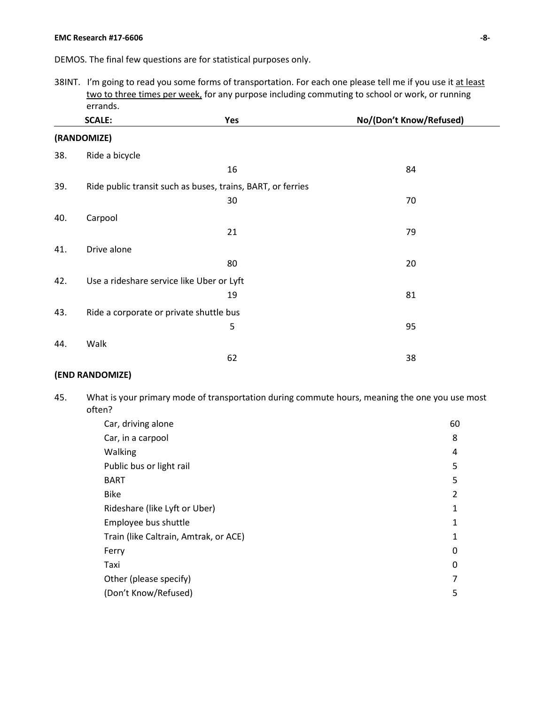#### **EMC Research #17-6606 -8-**

DEMOS. The final few questions are for statistical purposes only.

38INT. I'm going to read you some forms of transportation. For each one please tell me if you use it at least two to three times per week, for any purpose including commuting to school or work, or running errands.

|     | <b>SCALE:</b>                             | Yes                                                         | No/(Don't Know/Refused) |
|-----|-------------------------------------------|-------------------------------------------------------------|-------------------------|
|     | (RANDOMIZE)                               |                                                             |                         |
| 38. | Ride a bicycle                            |                                                             |                         |
|     |                                           | 16                                                          | 84                      |
| 39. |                                           | Ride public transit such as buses, trains, BART, or ferries |                         |
|     |                                           | 30                                                          | 70                      |
| 40. | Carpool                                   |                                                             |                         |
|     |                                           | 21                                                          | 79                      |
| 41. | Drive alone                               |                                                             |                         |
|     |                                           | 80                                                          | 20                      |
| 42. | Use a rideshare service like Uber or Lyft |                                                             |                         |
|     |                                           | 19                                                          | 81                      |
| 43. | Ride a corporate or private shuttle bus   |                                                             |                         |
|     |                                           | 5                                                           | 95                      |
| 44. | Walk                                      |                                                             |                         |
|     |                                           | 62                                                          | 38                      |

# **(END RANDOMIZE)**

45. What is your primary mode of transportation during commute hours, meaning the one you use most often?

| Car, driving alone                    | 60 |
|---------------------------------------|----|
| Car, in a carpool                     | 8  |
| Walking                               | 4  |
| Public bus or light rail              | 5  |
| <b>BART</b>                           | 5  |
| <b>Bike</b>                           | 2  |
| Rideshare (like Lyft or Uber)         | 1  |
| Employee bus shuttle                  | 1  |
| Train (like Caltrain, Amtrak, or ACE) | 1  |
| Ferry                                 | 0  |
| Taxi                                  | 0  |
| Other (please specify)                | 7  |
| (Don't Know/Refused)                  | 5  |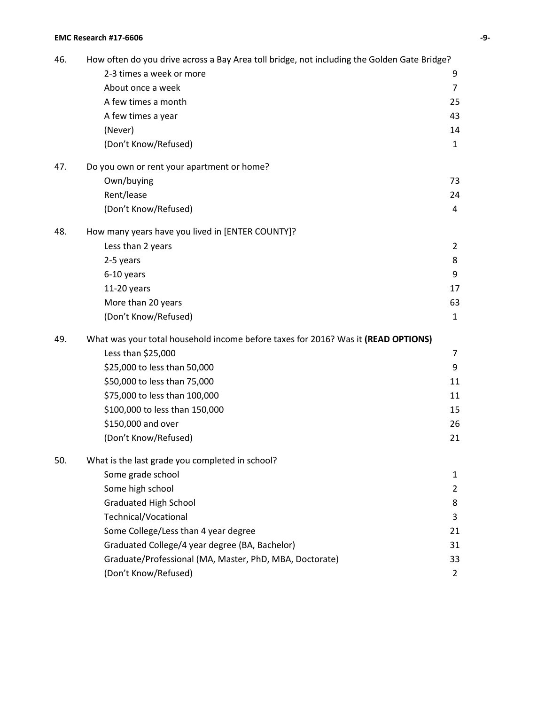| 46. | How often do you drive across a Bay Area toll bridge, not including the Golden Gate Bridge? |                |
|-----|---------------------------------------------------------------------------------------------|----------------|
|     | 2-3 times a week or more                                                                    | 9              |
|     | About once a week                                                                           | $\overline{7}$ |
|     | A few times a month                                                                         | 25             |
|     | A few times a year                                                                          | 43             |
|     | (Never)                                                                                     | 14             |
|     | (Don't Know/Refused)                                                                        | $\mathbf{1}$   |
| 47. | Do you own or rent your apartment or home?                                                  |                |
|     | Own/buying                                                                                  | 73             |
|     | Rent/lease                                                                                  | 24             |
|     | (Don't Know/Refused)                                                                        | 4              |
| 48. | How many years have you lived in [ENTER COUNTY]?                                            |                |
|     | Less than 2 years                                                                           | $\overline{2}$ |
|     | 2-5 years                                                                                   | 8              |
|     | 6-10 years                                                                                  | 9              |
|     | 11-20 years                                                                                 | 17             |
|     | More than 20 years                                                                          | 63             |
|     | (Don't Know/Refused)                                                                        | 1              |
| 49. | What was your total household income before taxes for 2016? Was it (READ OPTIONS)           |                |
|     | Less than \$25,000                                                                          | 7              |
|     | \$25,000 to less than 50,000                                                                | 9              |
|     | \$50,000 to less than 75,000                                                                | 11             |
|     | \$75,000 to less than 100,000                                                               | 11             |
|     | \$100,000 to less than 150,000                                                              | 15             |
|     | \$150,000 and over                                                                          | 26             |
|     | (Don't Know/Refused)                                                                        | 21             |
| 50. | What is the last grade you completed in school?                                             |                |
|     | Some grade school                                                                           | 1              |
|     | Some high school                                                                            | $\overline{2}$ |
|     | <b>Graduated High School</b>                                                                | 8              |
|     | Technical/Vocational                                                                        | 3              |
|     | Some College/Less than 4 year degree                                                        | 21             |
|     | Graduated College/4 year degree (BA, Bachelor)                                              | 31             |
|     | Graduate/Professional (MA, Master, PhD, MBA, Doctorate)                                     | 33             |
|     | (Don't Know/Refused)                                                                        | $\overline{2}$ |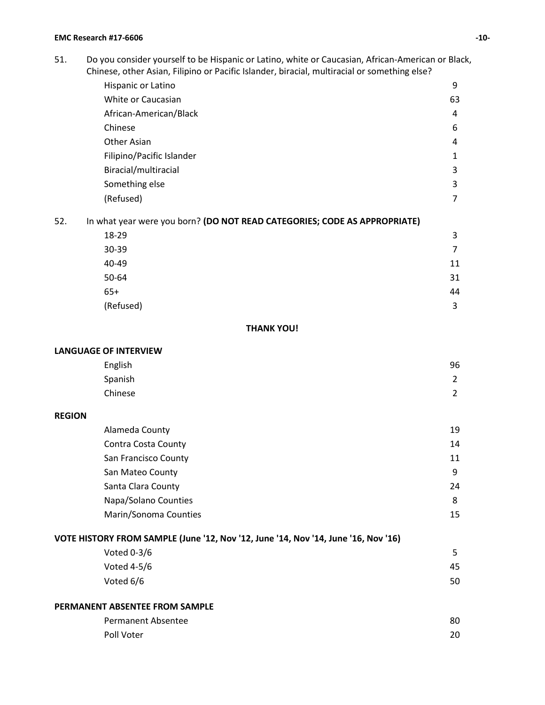51. Do you consider yourself to be Hispanic or Latino, white or Caucasian, African-American or Black, Chinese, other Asian, Filipino or Pacific Islander, biracial, multiracial or something else?

| Hispanic or Latino                                                     | 9  |
|------------------------------------------------------------------------|----|
| White or Caucasian                                                     | 63 |
| African-American/Black                                                 | 4  |
| Chinese                                                                | 6  |
| Other Asian                                                            | 4  |
| Filipino/Pacific Islander                                              | 1  |
| Biracial/multiracial                                                   | 3  |
| Something else                                                         | 3  |
| (Refused)                                                              | 7  |
| what year were you horn? (DO NOT READ CATEGORIES: CODE AS APPROPRIATE) |    |

52. In what year were you born? **(DO NOT READ CATEGORIES; CODE AS APPROPRIATE)**

| 18-29     | 3  |
|-----------|----|
| 30-39     | 7  |
| 40-49     | 11 |
| 50-64     | 31 |
| $65+$     | 44 |
| (Refused) | 3  |

### **THANK YOU!**

#### **LANGUAGE OF INTERVIEW**

| English | 96             |
|---------|----------------|
| Spanish | $\overline{2}$ |
| Chinese | $\overline{2}$ |

## **REGION**

| Alameda County        | 19 |
|-----------------------|----|
| Contra Costa County   | 14 |
| San Francisco County  | 11 |
| San Mateo County      | 9  |
| Santa Clara County    | 24 |
| Napa/Solano Counties  | 8  |
| Marin/Sonoma Counties | 15 |

# **VOTE HISTORY FROM SAMPLE (June '12, Nov '12, June '14, Nov '14, June '16, Nov '16)**

| Voted $0-3/6$ | 5  |
|---------------|----|
| Voted $4-5/6$ | 45 |
| Voted 6/6     | 50 |

## **PERMANENT ABSENTEE FROM SAMPLE**

| Permanent Absentee | 80 |
|--------------------|----|
| Poll Voter         | 20 |